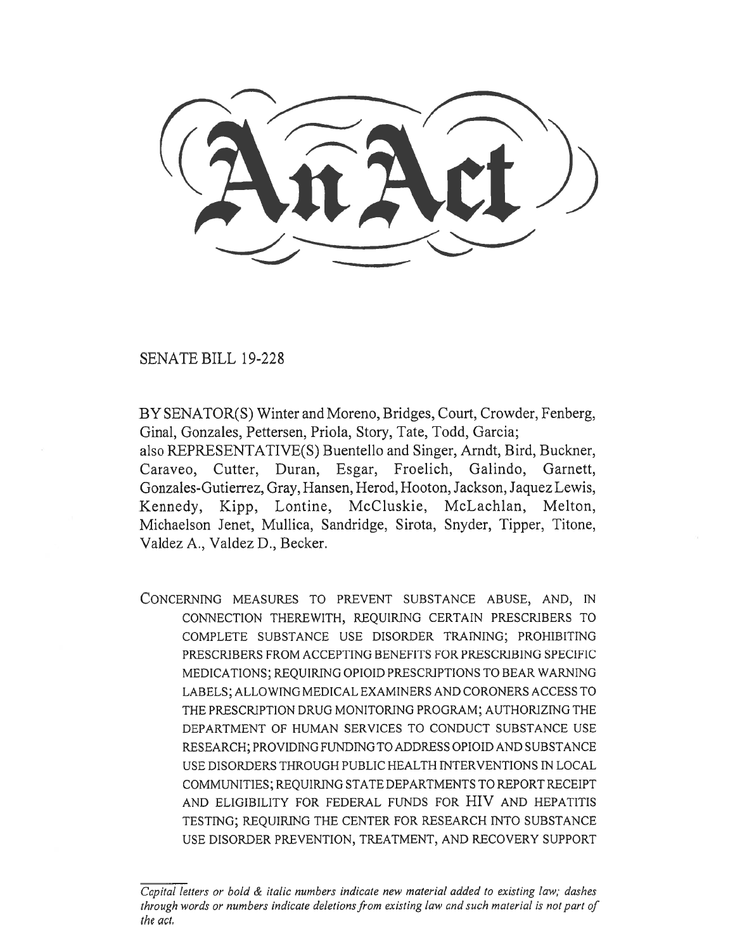SENATE BILL 19-228

BY SENATOR(S) Winter and Moreno, Bridges, Court, Crowder, Fenberg, Ginal, Gonzales, Pettersen, Priola, Story, Tate, Todd, Garcia;

also REPRESENTATIVE(S) Buentello and Singer, Arndt, Bird, Buckner, Caraveo, Cutter, Duran, Esgar, Froelich, Galindo, Garnett, Gonzales-Gutierrez, Gray, Hansen, Herod, Hooton, Jackson, Jaquez Lewis, Kennedy, Kipp, Lontine, McCluskie, McLachlan, Melton, Michaelson Jenet, Mullica, Sandridge, Sirota, Snyder, Tipper, Titone, Valdez A., Valdez D., Becker.

CONCERNING MEASURES TO PREVENT SUBSTANCE ABUSE, AND, IN CONNECTION THEREWITH, REQUIRING CERTAIN PRESCRIBERS TO COMPLETE SUBSTANCE USE DISORDER TRAINING; PROHIBITING PRESCRIBERS FROM ACCEPTING BENEFITS FOR PRESCRIBING SPECIFIC MEDICATIONS; REQUIRING OPIOID PRESCRIPTIONS TO BEAR WARNING LABELS; ALLOWING MEDICAL EXAMINERS AND CORONERS ACCESS TO THE PRESCRIPTION DRUG MONITORING PROGRAM; AUTHORIZING THE DEPARTMENT OF HUMAN SERVICES TO CONDUCT SUBSTANCE USE RESEARCH; PROVIDING FUNDING TO ADDRESS OPIOID AND SUBSTANCE USE DISORDERS THROUGH PUBLIC HEALTH INTERVENTIONS IN LOCAL COMMUNITIES; REQUIRING STATE DEPARTMENTS TO REPORT RECEIPT AND ELIGIBILITY FOR FEDERAL FUNDS FOR HIV AND HEPATITIS TESTING; REQUIRING THE CENTER FOR RESEARCH INTO SUBSTANCE USE DISORDER PREVENTION, TREATMENT, AND RECOVERY SUPPORT

*Capital letters or bold & italic numbers indicate new material added to existing law; dashes through words or numbers indicate deletions from existing law and such material is not part of the act.*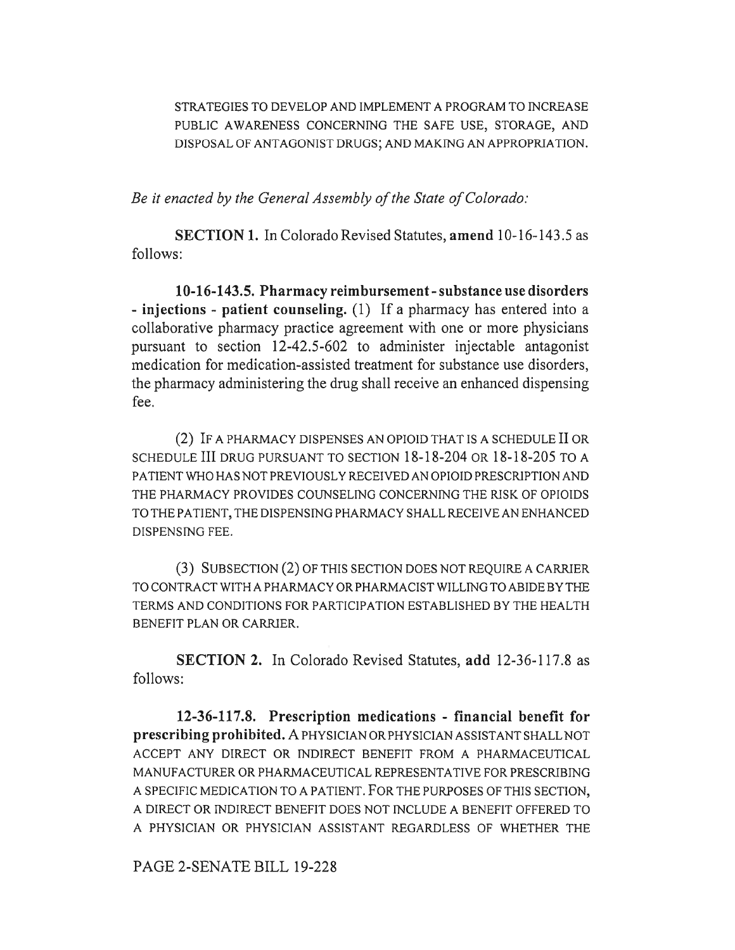STRATEGIES TO DEVELOP AND IMPLEMENT A PROGRAM TO INCREASE PUBLIC AWARENESS CONCERNING THE SAFE USE, STORAGE, AND DISPOSAL OF ANTAGONIST DRUGS; AND MAKING AN APPROPRIATION.

*Be it enacted by the General Assembly of the State of Colorado:* 

**SECTION 1.** In Colorado Revised Statutes, **amend 10-16-143.5** as follows:

**10-16-143.5. Pharmacy reimbursement - substance use disorders - injections - patient counseling.** (1) If a pharmacy has entered into a collaborative pharmacy practice agreement with one or more physicians pursuant to section 12-42.5-602 to administer injectable antagonist medication for medication-assisted treatment for substance use disorders, the pharmacy administering the drug shall receive an enhanced dispensing fee.

(2) IF A PHARMACY DISPENSES AN OPIOID THAT IS A SCHEDULE II OR SCHEDULE III DRUG PURSUANT TO SECTION 18-18-204 OR 18-18-205 TO A PATIENT WHO HAS NOT PREVIOUSLY RECEIVED AN OPIOID PRESCRIPTION AND THE PHARMACY PROVIDES COUNSELING CONCERNING THE RISK OF OPIOIDS TO THE PATIENT, THE DISPENSING PHARMACY SHALL RECEIVE AN ENHANCED DISPENSING FEE.

(3) SUBSECTION (2) OF THIS SECTION DOES NOT REQUIRE A CARRIER TO CONTRACT WITH A PHARMACY OR PHARMACIST WILLING TO ABIDE BY THE TERMS AND CONDITIONS FOR PARTICIPATION ESTABLISHED BY THE HEALTH BENEFIT PLAN OR CARRIER.

**SECTION 2.** In Colorado Revised Statutes, **add** 12-36-117.8 as follows:

**12-36-117.8. Prescription medications - financial benefit for prescribing prohibited.** A PHYSICIAN OR PHYSICIAN ASSISTANT SHALL NOT ACCEPT ANY DIRECT OR INDIRECT BENEFIT FROM A PHARMACEUTICAL MANUFACTURER OR PHARMACEUTICAL REPRESENTATIVE FOR PRESCRIBING A SPECIFIC MEDICATION TO A PATIENT. FOR THE PURPOSES OF THIS SECTION, A DIRECT OR INDIRECT BENEFIT DOES NOT INCLUDE A BENEFIT OFFERED TO A PHYSICIAN OR PHYSICIAN ASSISTANT REGARDLESS OF WHETHER THE

PAGE 2-SENATE BILL 19-228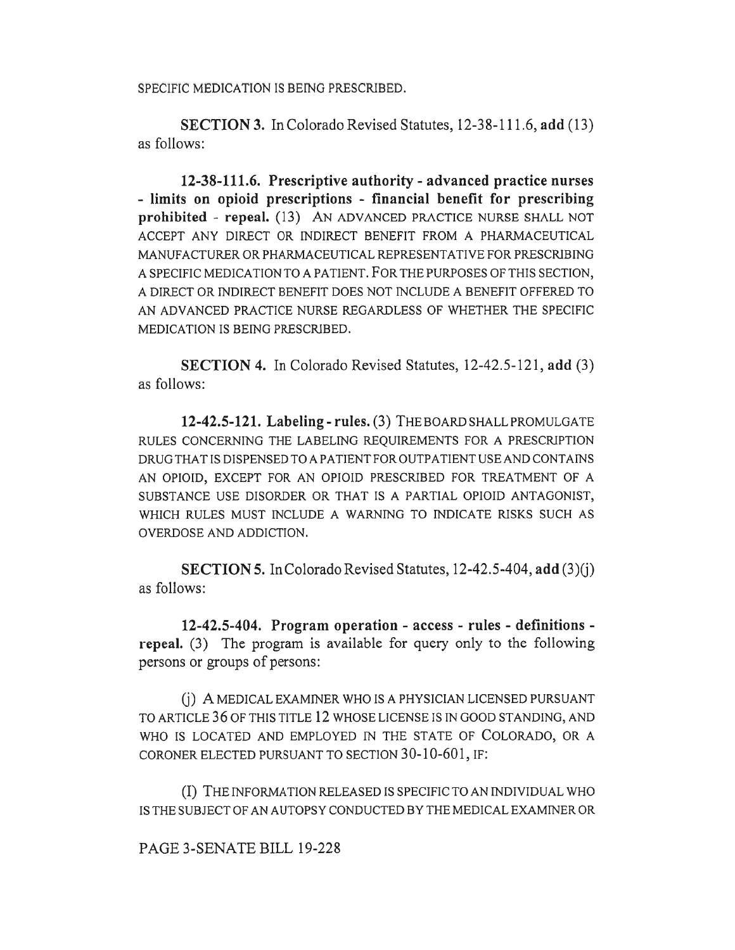SPECIFIC MEDICATION IS BEING PRESCRIBED.

**SECTION 3.** In Colorado Revised Statutes, 12-38-111.6, **add** (13) as follows:

**12-38-111.6. Prescriptive authority - advanced practice nurses - limits on opioid prescriptions - financial benefit for prescribing prohibited - repeal.** (13) AN ADVANCED PRACTICE NURSE SHALL NOT ACCEPT ANY DIRECT OR INDIRECT BENEFIT FROM A PHARMACEUTICAL MANUFACTURER OR PHARMACEUTICAL REPRESENTATIVE FOR PRESCRIBING A SPECIFIC MEDICATION TO A PATIENT. FOR THE PURPOSES OF THIS SECTION, A DIRECT OR INDIRECT BENEFIT DOES NOT INCLUDE A BENEFIT OFFERED TO AN ADVANCED PRACTICE NURSE REGARDLESS OF WHETHER THE SPECIFIC MEDICATION IS BEING PRESCRIBED.

**SECTION 4.** In Colorado Revised Statutes, 12-42.5-121, **add** (3) as follows:

**12-42.5-121. Labeling - rules.** (3) THE BOARD SHALL PROMULGATE RULES CONCERNING THE LABELING REQUIREMENTS FOR A PRESCRIPTION DRUG THAT IS DISPENSED TO A PATIENT FOR OUTPATIENT USE AND CONTAINS AN OPIOID, EXCEPT FOR AN OPIOID PRESCRIBED FOR TREATMENT OF A SUBSTANCE USE DISORDER OR THAT IS A PARTIAL OPIOID ANTAGONIST, WHICH RULES MUST INCLUDE A WARNING TO INDICATE RISKS SUCH AS OVERDOSE AND ADDICTION.

**SECTION 5.** In Colorado Revised Statutes, 12-42.5-404, **add** (3)(j) as follows:

**12-42.5-404. Program operation - access - rules - definitions repeal.** (3) The program is available for query only to the following persons or groups of persons:

(j) A MEDICAL EXAMINER WHO IS A PHYSICIAN LICENSED PURSUANT TO ARTICLE 36 OF THIS TITLE 12 WHOSE LICENSE IS IN GOOD STANDING, AND WHO IS LOCATED AND EMPLOYED IN THE STATE OF COLORADO, OR A CORONER ELECTED PURSUANT TO SECTION 30-10-601, IF:

(I) THE INFORMATION RELEASED IS SPECIFIC TO AN INDIVIDUAL WHO IS THE SUBJECT OF AN AUTOPSY CONDUCTED BY THE MEDICAL EXAMINER OR

PAGE 3-SENATE BILL 19-228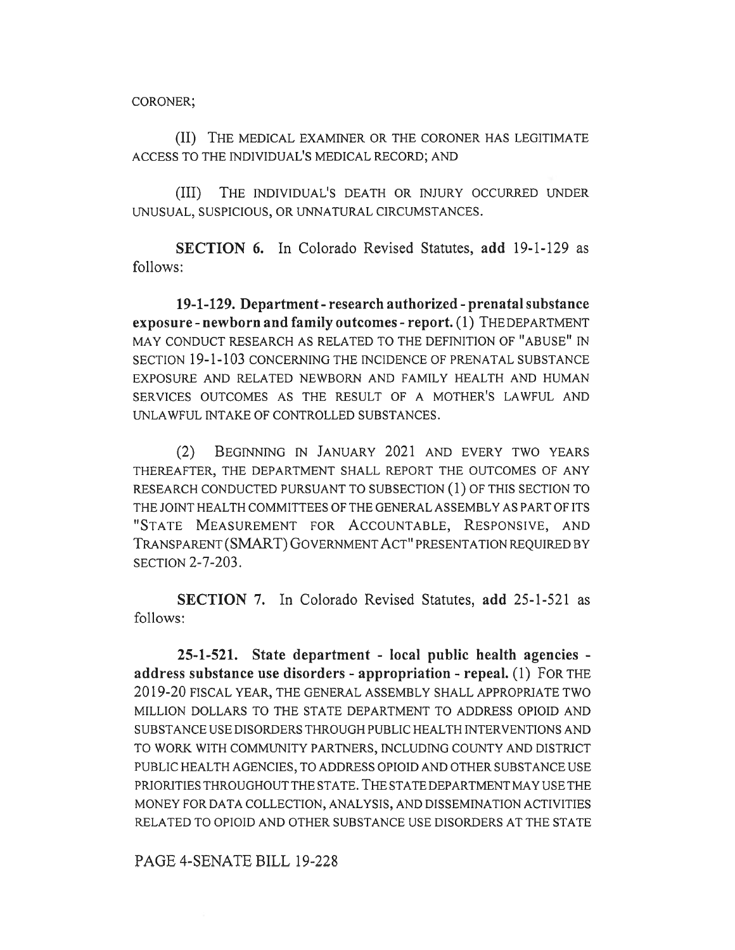CORONER;

(II) THE MEDICAL EXAMINER OR THE CORONER HAS LEGITIMATE ACCESS TO THE INDIVIDUAL'S MEDICAL RECORD; AND

(III) THE INDIVIDUAL'S DEATH OR INJURY OCCURRED UNDER UNUSUAL, SUSPICIOUS, OR UNNATURAL CIRCUMSTANCES.

**SECTION 6.** In Colorado Revised Statutes, **add** 19-1-129 as follows:

**19-1-129. Department - research authorized - prenatal substance exposure - newborn and family outcomes - report. (1)** THE DEPARTMENT MAY CONDUCT RESEARCH AS RELATED TO THE DEFINITION OF "ABUSE" IN SECTION 19-1-103 CONCERNING THE INCIDENCE OF PRENATAL SUBSTANCE EXPOSURE AND RELATED NEWBORN AND FAMILY HEALTH AND HUMAN SERVICES OUTCOMES AS THE RESULT OF A MOTHER'S LAWFUL AND UNLAWFUL INTAKE OF CONTROLLED SUBSTANCES.

(2) BEGINNING IN JANUARY 2021 AND EVERY TWO YEARS THEREAFTER, THE DEPARTMENT SHALL REPORT THE OUTCOMES OF ANY RESEARCH CONDUCTED PURSUANT TO SUBSECTION (1) OF THIS SECTION TO THE JOINT HEALTH COMMITTEES OF THE GENERAL ASSEMBLY AS PART OF ITS "STATE MEASUREMENT FOR ACCOUNTABLE, RESPONSIVE, AND TRANSPARENT (SMART) GOVERNMENT ACT" PRESENTATION REQUIRED BY SECTION 2-7-203.

**SECTION 7.** In Colorado Revised Statutes, **add** 25-1-521 as follows:

**25-1-521. State department - local public health agencies address substance use disorders - appropriation - repeal.** (1) FOR THE 2019-20 FISCAL YEAR, THE GENERAL ASSEMBLY SHALL APPROPRIATE TWO MILLION DOLLARS TO THE STATE DEPARTMENT TO ADDRESS OPIOID AND SUBSTANCE USE DISORDERS THROUGH PUBLIC HEALTH INTERVENTIONS AND TO WORK WITH COMMUNITY PARTNERS, INCLUDING COUNTY AND DISTRICT PUBLIC HEALTH AGENCIES, TO ADDRESS OPIOID AND OTHER SUBSTANCE USE PRIORITIES THROUGHOUT THE STATE. THE STATE DEPARTMENT MAY USE THE MONEY FOR DATA COLLECTION, ANALYSIS, AND DISSEMINATION ACTIVITIES RELATED TO OPIOID AND OTHER SUBSTANCE USE DISORDERS AT THE STATE

PAGE 4-SENATE BILL 19-228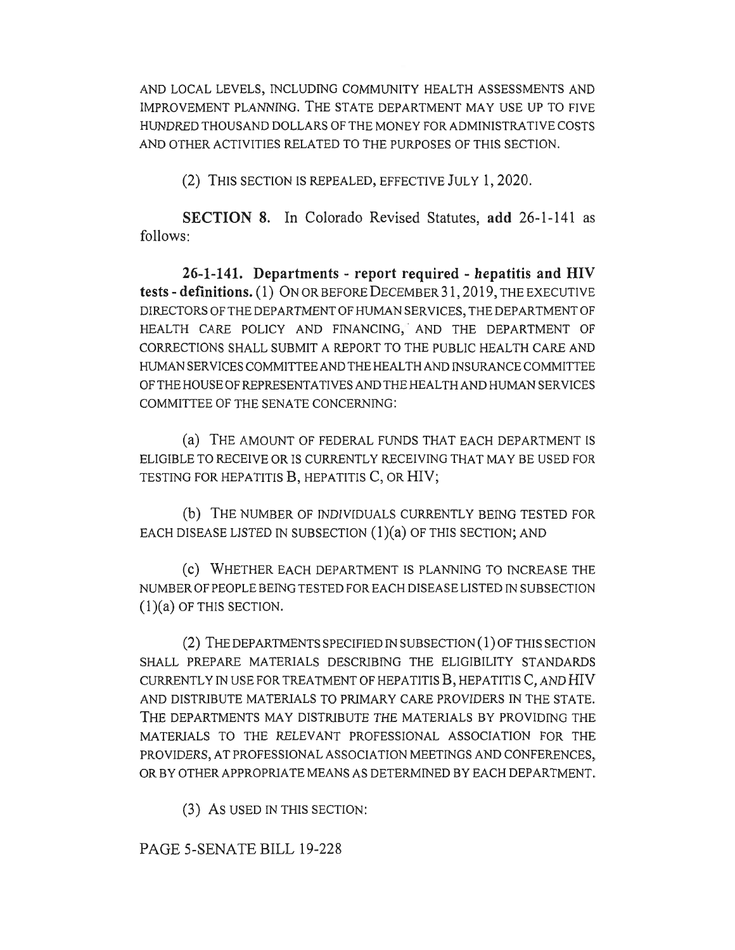AND LOCAL LEVELS, INCLUDING COMMUNITY HEALTH ASSESSMENTS AND IMPROVEMENT PLANNING. THE STATE DEPARTMENT MAY USE UP TO FIVE HUNDRED THOUSAND DOLLARS OF THE MONEY FOR ADMINISTRATIVE COSTS AND OTHER ACTIVITIES RELATED TO THE PURPOSES OF THIS SECTION.

(2) THIS SECTION IS REPEALED, EFFECTIVE JULY 1, 2020.

**SECTION 8.** In Colorado Revised Statutes, **add** 26-1-141 as follows:

**26-1-141. Departments - report required - hepatitis and HIV tests - definitions. (1)** ON OR BEFORE DECEMBER 31, 2019, THE EXECUTIVE DIRECTORS OF THE DEPARTMENT OF HUMAN SERVICES, THE DEPARTMENT OF HEALTH CARE POLICY AND FINANCING,<sup>3</sup> AND THE DEPARTMENT OF CORRECTIONS SHALL SUBMIT A REPORT TO THE PUBLIC HEALTH CARE AND HUMAN SERVICES COMMITTEE AND THE HEALTH AND INSURANCE COMMITTEE OF THE HOUSE OF REPRESENTATIVES AND THE HEALTH AND HUMAN SERVICES COMMITTEE OF THE SENATE CONCERNING:

(a) THE AMOUNT OF FEDERAL FUNDS THAT EACH DEPARTMENT IS ELIGIBLE TO RECEIVE OR IS CURRENTLY RECEIVING THAT MAY BE USED FOR TESTING FOR HEPATITIS B, HEPATITIS C, OR HIV;

(b) THE NUMBER OF INDIVIDUALS CURRENTLY BEING TESTED FOR EACH DISEASE LISTED IN SUBSECTION  $(1)(a)$  OF THIS SECTION; AND

(c) WHETHER EACH DEPARTMENT IS PLANNING TO INCREASE THE NUMBER OF PEOPLE BEING TESTED FOR EACH DISEASE LISTED IN SUBSECTION (1)(a) OF THIS SECTION.

(2) THE DEPARTMENTS SPECIFIED IN SUBSECTION (1) OF THIS SECTION SHALL PREPARE MATERIALS DESCRIBING THE ELIGIBILITY STANDARDS CURRENTLY IN USE FOR TREATMENT OF HEPATITIS  $B$ , HEPATITIS  $C$ , AND  $HIV$ AND DISTRIBUTE MATERIALS TO PRIMARY CARE PROVIDERS IN THE STATE. THE DEPARTMENTS MAY DISTRIBUTE THE MATERIALS BY PROVIDING THE MATERIALS TO THE RELEVANT PROFESSIONAL ASSOCIATION FOR THE PROVIDERS, AT PROFESSIONAL ASSOCIATION MEETINGS AND CONFERENCES, OR BY OTHER APPROPRIATE MEANS AS DETERMINED BY EACH DEPARTMENT.

(3) As USED IN THIS SECTION:

## PAGE 5-SENATE BILL 19-228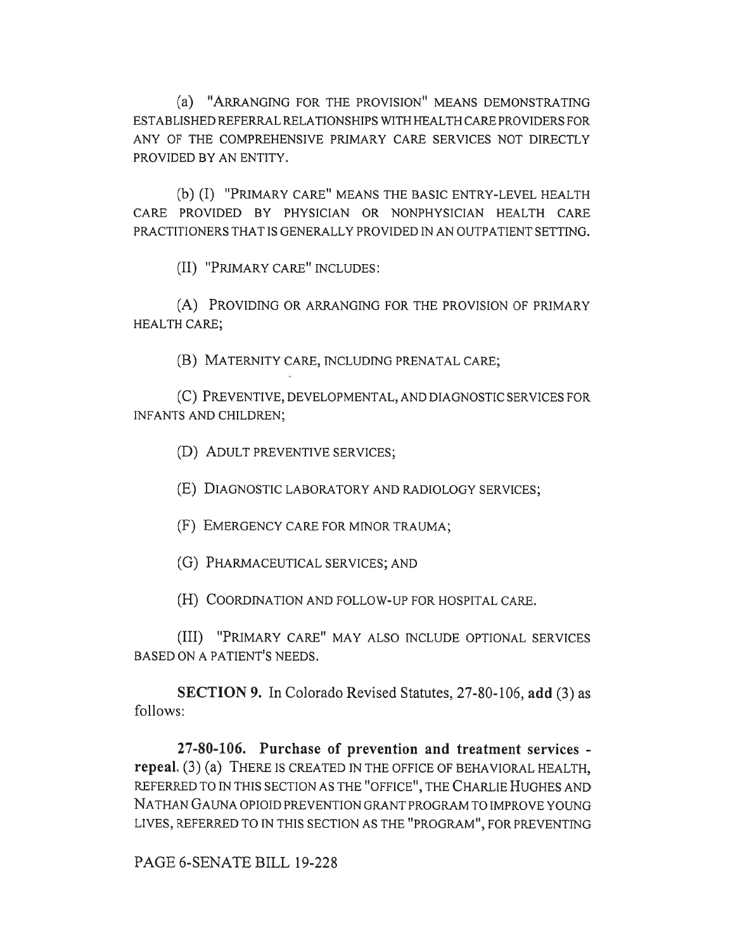(a) "ARRANGING FOR THE PROVISION" MEANS DEMONSTRATING ESTABLISHED REFERRAL RELATIONSHIPS WITH HEALTH CARE PROVIDERS FOR ANY OF THE COMPREHENSIVE PRIMARY CARE SERVICES NOT DIRECTLY PROVIDED BY AN ENTITY.

(b) (I) "PRIMARY CARE" MEANS THE BASIC ENTRY-LEVEL HEALTH CARE PROVIDED BY PHYSICIAN OR NONPHYSICIAN HEALTH CARE PRACTITIONERS THAT IS GENERALLY PROVIDED IN AN OUTPATIENT SETTING.

(II) "PRIMARY CARE" INCLUDES:

(A) PROVIDING OR ARRANGING FOR THE PROVISION OF PRIMARY HEALTH CARE;

(B) MATERNITY CARE, INCLUDING PRENATAL CARE;

(C) PREVENTIVE, DEVELOPMENTAL, AND DIAGNOSTIC SERVICES FOR INFANTS AND CHILDREN;

(D) ADULT PREVENTIVE SERVICES;

(E) DIAGNOSTIC LABORATORY AND RADIOLOGY SERVICES;

(F) EMERGENCY CARE FOR MINOR TRAUMA;

(G) PHARMACEUTICAL SERVICES; AND

(H) COORDINATION AND FOLLOW-UP FOR HOSPITAL CARE.

(III) "PRIMARY CARE" MAY ALSO INCLUDE OPTIONAL SERVICES BASED ON A PATIENT'S NEEDS.

**SECTION 9.** In Colorado Revised Statutes, 27-80-106, **add** (3) as follows:

**27-80-106. Purchase of prevention and treatment services repeal.** (3) (a) THERE IS CREATED IN THE OFFICE OF BEHAVIORAL HEALTH, REFERRED TO IN THIS SECTION AS THE "OFFICE", THE CHARLIE HUGHES AND NATHAN GAUNA OPIOID PREVENTION GRANT PROGRAM TO IMPROVE YOUNG LIVES, REFERRED TO IN THIS SECTION AS THE "PROGRAM", FOR PREVENTING

PAGE 6-SENATE BILL 19-228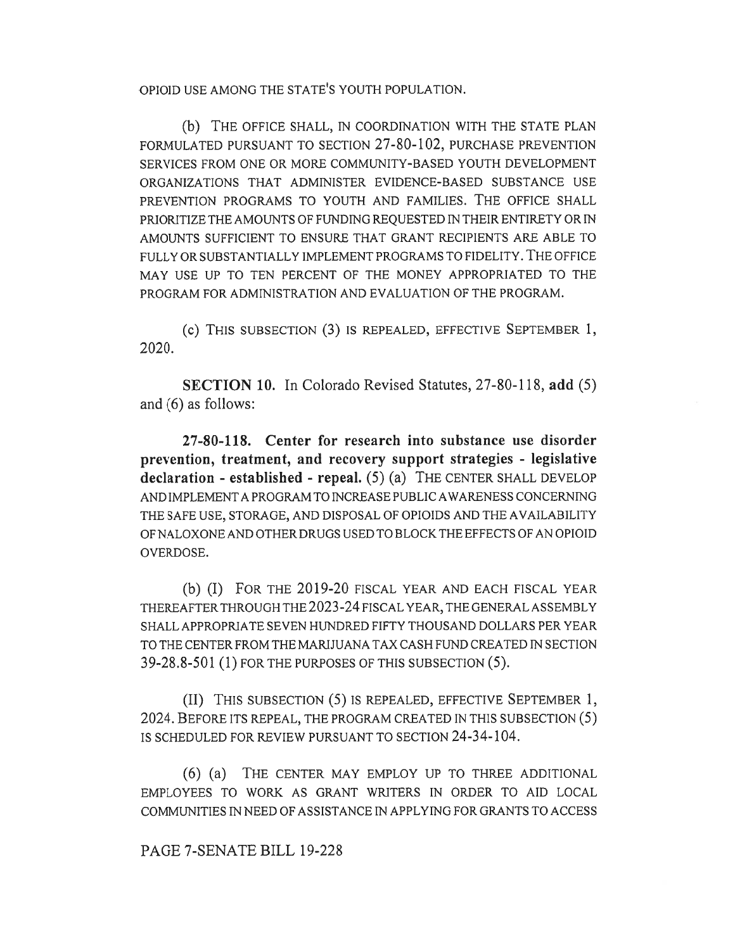OPIOID USE AMONG THE STATE'S YOUTH POPULATION.

(b) THE OFFICE SHALL, IN COORDINATION WITH THE STATE PLAN FORMULATED PURSUANT TO SECTION 27-80-102, PURCHASE PREVENTION SERVICES FROM ONE OR MORE COMMUNITY-BASED YOUTH DEVELOPMENT ORGANIZATIONS THAT ADMINISTER EVIDENCE-BASED SUBSTANCE USE PREVENTION PROGRAMS TO YOUTH AND FAMILIES. THE OFFICE SHALL PRIORITIZE THE AMOUNTS OF FUNDING REQUESTED IN THEIR ENTIRETY OR IN AMOUNTS SUFFICIENT TO ENSURE THAT GRANT RECIPIENTS ARE ABLE TO FULLY OR SUBSTANTIALLY IMPLEMENT PROGRAMS TO FIDELITY. THE OFFICE MAY USE UP TO TEN PERCENT OF THE MONEY APPROPRIATED TO THE PROGRAM FOR ADMINISTRATION AND EVALUATION OF THE PROGRAM.

(c) THIS SUBSECTION (3) IS REPEALED, EFFECTIVE SEPTEMBER 1, 2020.

**SECTION 10.** In Colorado Revised Statutes, 27-80-118, **add** (5) and (6) as follows:

**27-80-118. Center for research into substance use disorder prevention, treatment, and recovery support strategies - legislative declaration - established - repeal.** (5) (a) THE CENTER SHALL DEVELOP AND IMPLEMENT A PROGRAM TO INCREASE PUBLIC AWARENESS CONCERNING THE SAFE USE, STORAGE, AND DISPOSAL OF OPIOIDS AND THE AVAILABILITY OF NALOXONE AND OTHER DRUGS USED TO BLOCK THE EFFECTS OF AN OPIOID OVERDOSE.

(b) (I) FOR THE 2019-20 FISCAL YEAR AND EACH FISCAL YEAR THEREAFTER THROUGH THE 2023-24 FISCAL YEAR, THE GENERAL ASSEMBLY SHALL APPROPRIATE SEVEN HUNDRED FIFTY THOUSAND DOLLARS PER YEAR TO THE CENTER FROM THE MARIJUANA TAX CASH FUND CREATED IN SECTION 39-28.8-501 (1) FOR THE PURPOSES OF THIS SUBSECTION (5).

(II) THIS SUBSECTION (5) IS REPEALED, EFFECTIVE SEPTEMBER 1, 2024. BEFORE ITS REPEAL, THE PROGRAM CREATED IN THIS SUBSECTION (5) IS SCHEDULED FOR REVIEW PURSUANT TO SECTION 24-34-104.

(6) (a) THE CENTER MAY EMPLOY UP TO THREE ADDITIONAL EMPLOYEES TO WORK AS GRANT WRITERS IN ORDER TO AID LOCAL COMMUNITIES IN NEED OF ASSISTANCE IN APPLYING FOR GRANTS TO ACCESS

PAGE 7-SENATE BILL 19-228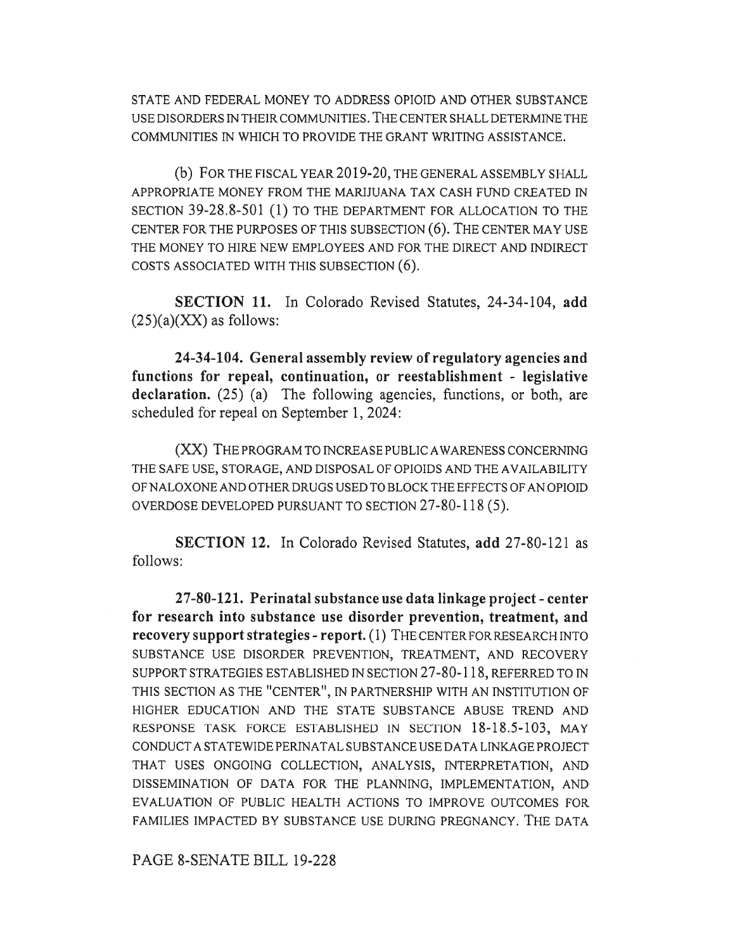STATE AND FEDERAL MONEY TO ADDRESS OPIOID AND OTHER SUBSTANCE USE DISORDERS IN THEIR COMMUNITIES. THE CENTER SHALL DETERMINE THE COMMUNITIES IN WHICH TO PROVIDE THE GRANT WRITING ASSISTANCE.

(b) FOR THE FISCAL YEAR 2019-20, THE GENERAL ASSEMBLY SHALL APPROPRIATE MONEY FROM THE MARIJUANA TAX CASH FUND CREATED IN SECTION 39-28.8-501 (1) TO THE DEPARTMENT FOR ALLOCATION TO THE CENTER FOR THE PURPOSES OF THIS SUBSECTION (6). THE CENTER MAY USE THE MONEY TO HIRE NEW EMPLOYEES AND FOR THE DIRECT AND INDIRECT COSTS ASSOCIATED WITH THIS SUBSECTION (6).

**SECTION 11.** In Colorado Revised Statutes, 24-34-104, **add**   $(25)(a)(XX)$  as follows:

**24-34-104. General assembly review of regulatory agencies and functions for repeal, continuation, or reestablishment - legislative**  declaration. (25) (a) The following agencies, functions, or both, are scheduled for repeal on September 1, 2024:

(XX) THE PROGRAM TO INCREASE PUBLIC AWARENESS CONCERNING THE SAFE USE, STORAGE, AND DISPOSAL OF OPIOIDS AND THE AVAILABILITY OF NALOXONE AND OTHER DRUGS USED TO BLOCK THE EFFECTS OF AN OPIOID OVERDOSE DEVELOPED PURSUANT TO SECTION 27-80-118 (5).

**SECTION 12.** In Colorado Revised Statutes, **add** 27-80-121 as follows:

**27-80-121. Perinatal substance use data linkage project - center for research into substance use disorder prevention, treatment, and recovery support strategies - report.** (1) THE CENTER FOR RESEARCH INTO SUBSTANCE USE DISORDER PREVENTION, TREATMENT, AND RECOVERY SUPPORT STRATEGIES ESTABLISHED IN SECTION 27-80-118, REFERRED TO IN THIS SECTION AS THE "CENTER", IN PARTNERSHIP WITH AN INSTITUTION OF HIGHER EDUCATION AND THE STATE SUBSTANCE ABUSE TREND AND RESPONSE TASK FORCE ESTABLISHED IN SECTION 18-18.5-103, MAY CONDUCT A STATEWIDE PERINATAL SUBSTANCE USE DATA LINKAGE PROJECT THAT USES ONGOING COLLECTION, ANALYSIS, INTERPRETATION, AND DISSEMINATION OF DATA FOR THE PLANNING, IMPLEMENTATION, AND EVALUATION OF PUBLIC HEALTH ACTIONS TO IMPROVE OUTCOMES FOR FAMILIES IMPACTED BY SUBSTANCE USE DURING PREGNANCY. THE DATA

PAGE 8-SENATE BILL 19-228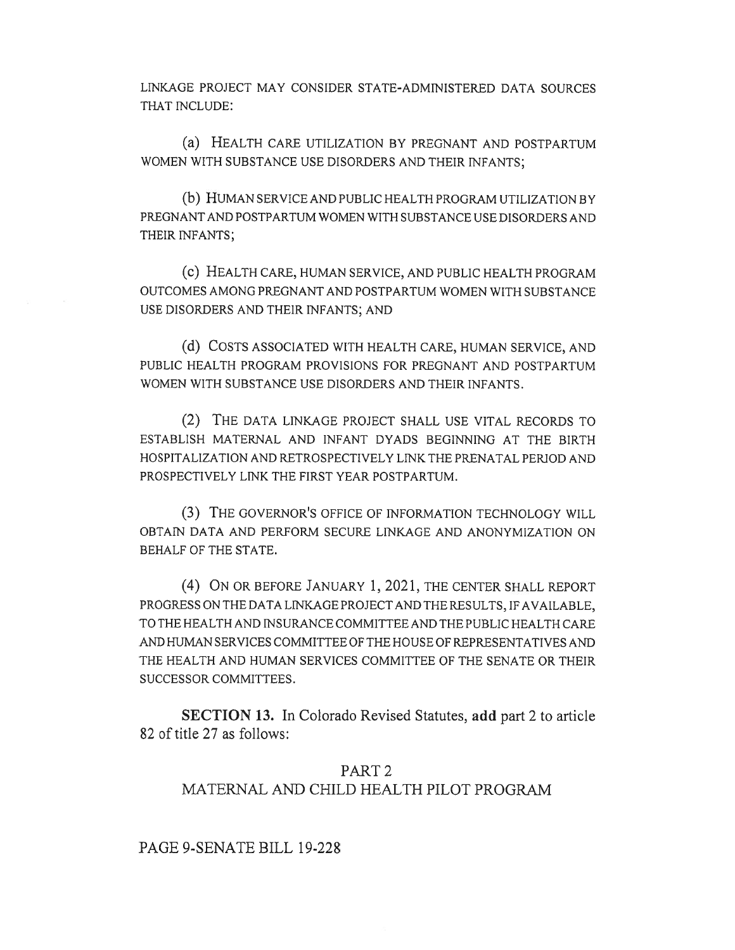LINKAGE PROJECT MAY CONSIDER STATE-ADMINISTERED DATA SOURCES THAT INCLUDE:

(a) HEALTH CARE UTILIZATION BY PREGNANT AND POSTPARTUM WOMEN WITH SUBSTANCE USE DISORDERS AND THEIR INFANTS;

(b) HUMAN SERVICE AND PUBLIC HEALTH PROGRAM UTILIZATION BY PREGNANT AND POSTPARTUM WOMEN WITH SUBSTANCE USE DISORDERS AND THEIR INFANTS;

(C) HEALTH CARE, HUMAN SERVICE, AND PUBLIC HEALTH PROGRAM OUTCOMES AMONG PREGNANT AND POSTPARTUM WOMEN WITH SUBSTANCE USE DISORDERS AND THEIR INFANTS; AND

(d) COSTS ASSOCIATED WITH HEALTH CARE, HUMAN SERVICE, AND PUBLIC HEALTH PROGRAM PROVISIONS FOR PREGNANT AND POSTPARTUM WOMEN WITH SUBSTANCE USE DISORDERS AND THEIR INFANTS.

(2) THE DATA LINKAGE PROJECT SHALL USE VITAL RECORDS TO ESTABLISH MATERNAL AND INFANT DYADS BEGINNING AT THE BIRTH HOSPITALIZATION AND RETROSPECTIVELY LINK THE PRENATAL PERIOD AND PROSPECTIVELY LINK THE FIRST YEAR POSTPARTUM.

(3) THE GOVERNOR'S OFFICE OF INFORMATION TECHNOLOGY WILL OBTAIN DATA AND PERFORM SECURE LINKAGE AND ANONYMIZATION ON BEHALF OF THE STATE.

(4) ON OR BEFORE JANUARY 1, 2021, THE CENTER SHALL REPORT PROGRESS ON THE DATA LINKAGE PROJECT AND THE RESULTS, IF AVAILABLE, TO THE HEALTH AND INSURANCE COMMITTEE AND THE PUBLIC HEALTH CARE AND HUMAN SERVICES COMMITTEE OF THE HOUSE OF REPRESENTATIVES AND THE HEALTH AND HUMAN SERVICES COMMITTEE OF THE SENATE OR THEIR SUCCESSOR COMMITTEES.

**SECTION 13.** In Colorado Revised Statutes, **add** part 2 to article 82 of title 27 as follows:

## PART 2 MATERNAL AND CHILD HEALTH PILOT PROGRAM

PAGE 9-SENATE BILL 19-228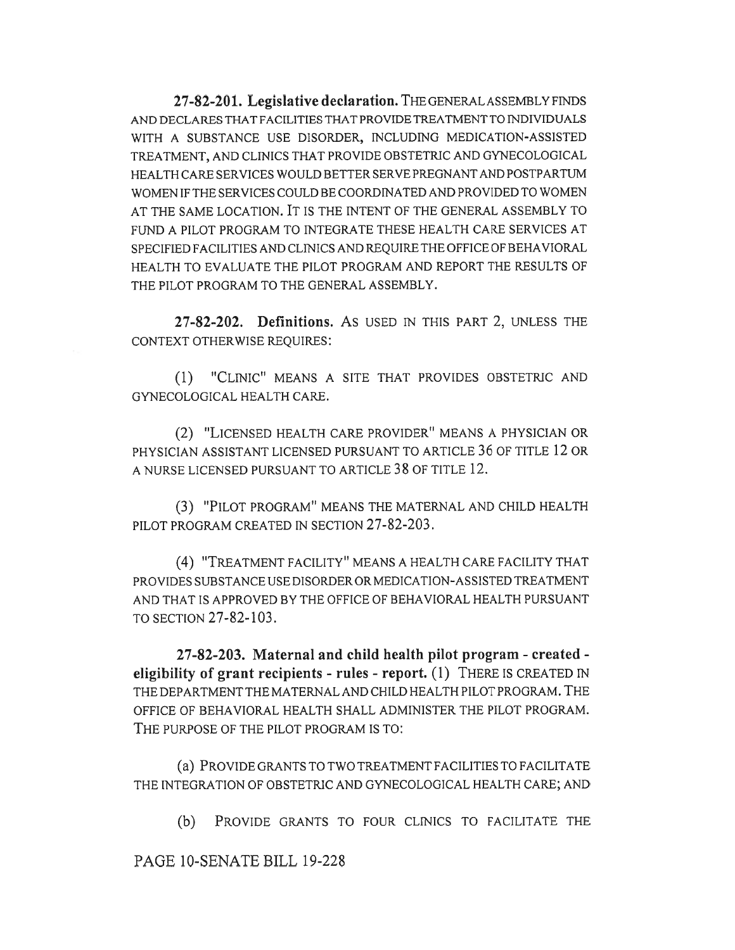**27-82-201. Legislative declaration.** THE GENERAL ASSEMBLY FINDS AND DECLARES THAT FACILITIES THAT PROVIDE TREATMENT TO INDIVIDUALS WITH A SUBSTANCE USE DISORDER, INCLUDING MEDICATION-ASSISTED TREATMENT, AND CLINICS THAT PROVIDE OBSTETRIC AND GYNECOLOGICAL HEALTH CARE SERVICES WOULD BETTER SERVE PREGNANT AND POSTPARTUM WOMEN IF THE SERVICES COULD BE COORDINATED AND PROVIDED TO WOMEN AT THE SAME LOCATION. IT IS THE INTENT OF THE GENERAL ASSEMBLY TO FUND A PILOT PROGRAM TO INTEGRATE THESE HEALTH CARE SERVICES AT SPECIFIED FACILITIES AND CLINICS AND REQUIRE THE OFFICE OF BEHAVIORAL HEALTH TO EVALUATE THE PILOT PROGRAM AND REPORT THE RESULTS OF THE PILOT PROGRAM TO THE GENERAL ASSEMBLY.

**27-82-202. Definitions. AS** USED IN THIS PART 2, UNLESS THE CONTEXT OTHERWISE REQUIRES:

(1) "CLINIC" MEANS A SITE THAT PROVIDES OBSTETRIC AND GYNECOLOGICAL HEALTH CARE.

(2) "LICENSED HEALTH CARE PROVIDER" MEANS A PHYSICIAN OR PHYSICIAN ASSISTANT LICENSED PURSUANT TO ARTICLE 36 OF TITLE 12 OR A NURSE LICENSED PURSUANT TO ARTICLE 38 OF TITLE 12.

(3) "PILOT PROGRAM" MEANS THE MATERNAL AND CHILD HEALTH PILOT PROGRAM CREATED IN SECTION 27-82-203.

(4) "TREATMENT FACILITY" MEANS A HEALTH CARE FACILITY THAT PROVIDES SUBSTANCE USE DISORDER OR MEDICATION-ASSISTED TREATMENT AND THAT IS APPROVED BY THE OFFICE OF BEHAVIORAL HEALTH PURSUANT TO SECTION 27-82-103.

**27-82-203. Maternal and child health pilot program - created eligibility of grant recipients - rules - report.** (1) THERE IS CREATED IN THE DEPARTMENT THE MATERNAL AND CHILD HEALTH PILOT PROGRAM. THE OFFICE OF BEHAVIORAL HEALTH SHALL ADMINISTER THE PILOT PROGRAM. THE PURPOSE OF THE PILOT PROGRAM IS TO:

(a) PROVIDE GRANTS TO TWO TREATMENT FACILITIES TO FACILITATE THE INTEGRATION OF OBSTETRIC AND GYNECOLOGICAL HEALTH CARE; AND

(b) PROVIDE GRANTS TO FOUR CLINICS TO FACILITATE THE

PAGE 10-SENATE BILL 19-228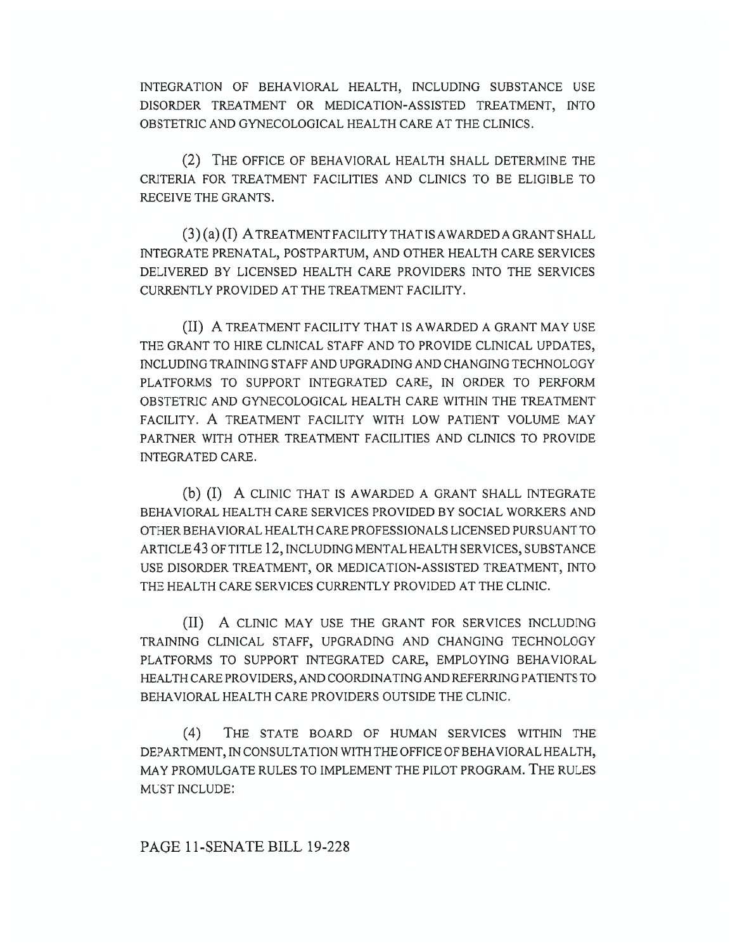INTEGRATION OF BEHAVIORAL HEALTH, INCLUDING SUBSTANCE USE DISORDER TREATMENT OR MEDICATION-ASSISTED TREATMENT, INTO OBSTETRIC AND GYNECOLOGICAL HEALTH CARE AT THE CLINICS.

(2) THE OFFICE OF BEHAVIORAL HEALTH SHALL DETERMINE THE CRITERIA FOR TREATMENT FACILITIES AND CLINICS TO BE ELIGIBLE TO RECEIVE THE GRANTS.

(3) (a) (I) A TREATMENT FACILITY THAT IS AWARDED A GRANT SHALL INTEGRATE PRENATAL, POSTPARTUM, AND OTHER HEALTH CARE SERVICES DELIVERED BY LICENSED HEALTH CARE PROVIDERS INTO THE SERVICES CURRENTLY PROVIDED AT THE TREATMENT FACILITY.

(II) A TREATMENT FACILITY THAT IS AWARDED A GRANT MAY USE THE GRANT TO HIRE CLINICAL STAFF AND TO PROVIDE CLINICAL UPDATES, INCLUDING TRAINING STAFF AND UPGRADING AND CHANGING TECHNOLOGY PLATFORMS TO SUPPORT INTEGRATED CARE, IN ORDER TO PERFORM OBSTETRIC AND GYNECOLOGICAL HEALTH CARE WITHIN THE TREATMENT FACILITY. A TREATMENT FACILITY WITH LOW PATIENT VOLUME MAY PARTNER WITH OTHER TREATMENT FACILITIES AND CLINICS TO PROVIDE INTEGRATED CARE.

(b) (I) A CLINIC THAT IS AWARDED A GRANT SHALL INTEGRATE BEHAVIORAL HEALTH CARE SERVICES PROVIDED BY SOCIAL WORKERS AND OTHER BEHAVIORAL HEALTH CARE PROFESSIONALS LICENSED PURSUANT TO ARTICLE 43 OF TITLE 12, INCLUDING MENTAL HEALTH SERVICES, SUBSTANCE USE DISORDER TREATMENT, OR MEDICATION-ASSISTED TREATMENT, INTO THE HEALTH CARE SERVICES CURRENTLY PROVIDED AT THE CLINIC.

(II) A CLINIC MAY USE THE GRANT FOR SERVICES INCLUDING TRAINING CLINICAL STAFF, UPGRADING AND CHANGING TECHNOLOGY PLATFORMS TO SUPPORT INTEGRATED CARE, EMPLOYING BEHAVIORAL HEALTH CARE PROVIDERS, AND COORDINATING AND REFERRING PATIENTS TO BEHAVIORAL HEALTH CARE PROVIDERS OUTSIDE THE CLINIC.

(4) THE STATE BOARD OF HUMAN SERVICES WITHIN THE DEPARTMENT, IN CONSULTATION WITH THE OFFICE OF BEHAVIORAL HEALTH, MAY PROMULGATE RULES TO IMPLEMENT THE PILOT PROGRAM. THE RULES MUST INCLUDE: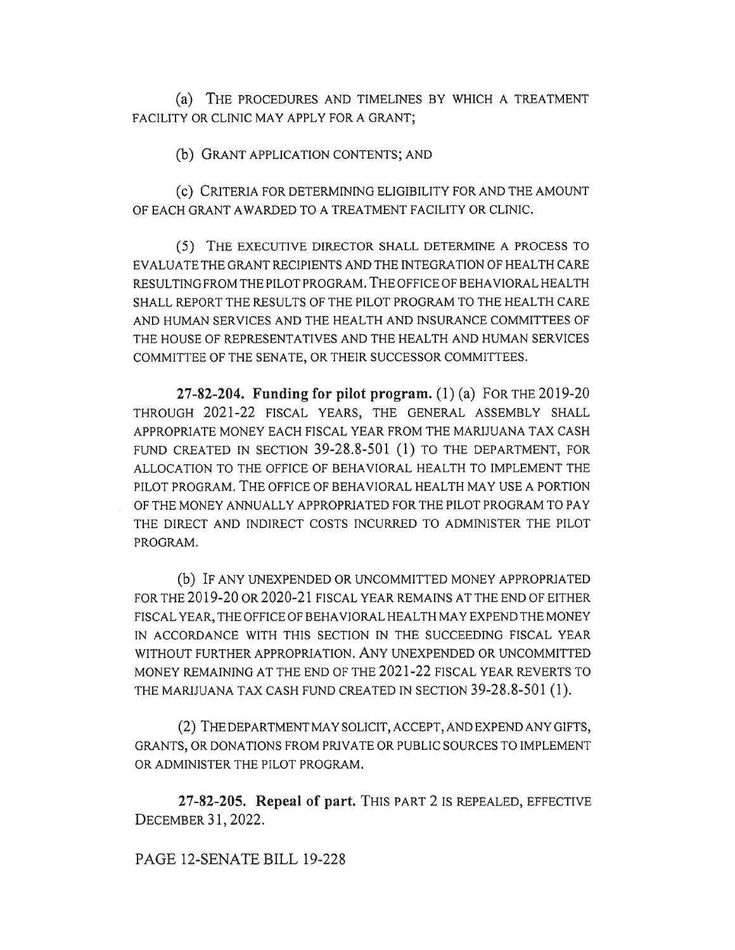(a) THE PROCEDURES AND TIMELINES BY WHICH A TREATMENT FACILITY OR CLINIC MAY APPLY FOR A GRANT;

(b) GRANT APPLICATION CONTENTS; AND

(C) CRITERIA FOR DETERMINING ELIGIBILITY FOR AND THE AMOUNT OF EACH GRANT AWARDED TO A TREATMENT FACILITY OR CLINIC.

(5) THE EXECUTIVE DIRECTOR SHALL DETERMINE A PROCESS TO EVALUATE THE GRANT RECIPIENTS AND THE INTEGRATION OF HEALTH CARE RESULTING FROM THE PILOT PROGRAM. THE OFFICE OF BEHAVIORAL HEALTH SHALL REPORT THE RESULTS OF THE PILOT PROGRAM TO THE HEALTH CARE AND HUMAN SERVICES AND THE HEALTH AND INSURANCE COMMITTEES OF THE HOUSE OF REPRESENTATIVES AND THE HEALTH AND HUMAN SERVICES COMMITTEE OF THE SENATE, OR THEIR SUCCESSOR COMMITTEES.

**27-82-204. Funding for pilot program.** (1) (a) FOR THE 2019-20 THROUGH 2021-22 FISCAL YEARS, THE GENERAL ASSEMBLY SHALL APPROPRIATE MONEY EACH FISCAL YEAR FROM THE MARIJUANA TAX CASH FUND CREATED IN SECTION 39-28.8-501 (1) TO THE DEPARTMENT, FOR ALLOCATION TO THE OFFICE OF BEHAVIORAL HEALTH TO IMPLEMENT THE PILOT PROGRAM. THE OFFICE OF BEHAVIORAL HEALTH MAY USE A PORTION OF THE MONEY ANNUALLY APPROPRIATED FOR THE PILOT PROGRAM TO PAY THE DIRECT AND INDIRECT COSTS INCURRED TO ADMINISTER THE PILOT PROGRAM.

(b) IF ANY UNEXPENDED OR UNCOMMITTED MONEY APPROPRIATED FOR THE 2019-20 OR 2020-21 FISCAL YEAR REMAINS AT THE END OF EITHER FISCAL YEAR, THE OFFICE OF BEHAVIORAL HEALTH MAY EXPEND THE MONEY IN ACCORDANCE WITH THIS SECTION IN THE SUCCEEDING FISCAL YEAR WITHOUT FURTHER APPROPRIATION. ANY UNEXPENDED OR UNCOMMITTED MONEY REMAINING AT THE END OF THE 2021-22 FISCAL YEAR REVERTS TO THE MARIJUANA TAX CASH FUND CREATED IN SECTION 39-28.8-501 (1).

(2) THE DEPARTMENT MAY SOLICIT, ACCEPT, AND EXPEND ANY GIFTS, GRANTS, OR DONATIONS FROM PRIVATE OR PUBLIC SOURCES TO IMPLEMENT OR ADMINISTER THE PILOT PROGRAM.

**27-82-205. Repeal of part.** THIS PART 2 IS REPEALED, EFFECTIVE DECEMBER 31, 2022.

PAGE 12-SENATE BILL 19-228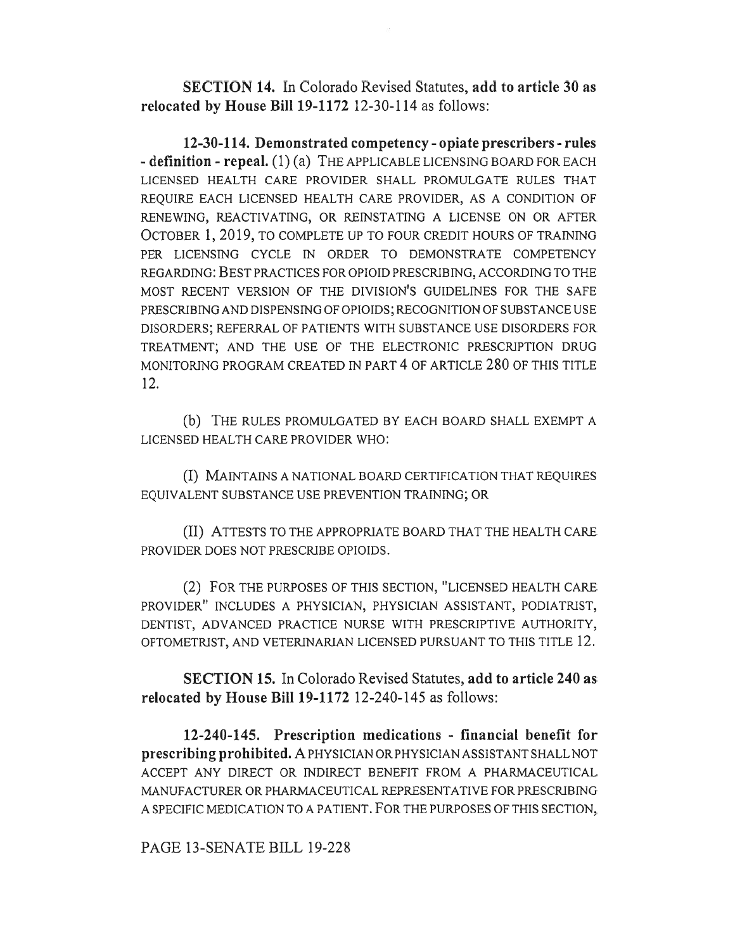**SECTION 14.** In Colorado Revised Statutes, **add to article 30 as relocated by House Bill 19-1172** 12-30-114 as follows:

**12-30-114. Demonstrated competency - opiate prescribers - rules - definition - repeal.** (1) (a) THE APPLICABLE LICENSING BOARD FOR EACH LICENSED HEALTH CARE PROVIDER SHALL PROMULGATE RULES THAT REQUIRE EACH LICENSED HEALTH CARE PROVIDER, AS A CONDITION OF RENEWING, REACTIVATING, OR REINSTATING A LICENSE ON OR AFTER OCTOBER 1, 2019, TO COMPLETE UP TO FOUR CREDIT HOURS OF TRAINING PER LICENSING CYCLE IN ORDER TO DEMONSTRATE COMPETENCY REGARDING: BEST PRACTICES FOR OPIOID PRESCRIBING, ACCORDING TO THE MOST RECENT VERSION OF THE DIVISION'S GUIDELINES FOR THE SAFE PRESCRIBING AND DISPENSING OF OPIOIDS; RECOGNITION OF SUBSTANCE USE DISORDERS; REFERRAL OF PATIENTS WITH SUBSTANCE USE DISORDERS FOR TREATMENT; AND THE USE OF THE ELECTRONIC PRESCRIPTION DRUG MONITORING PROGRAM CREATED IN PART 4 OF ARTICLE 280 OF THIS TITLE 12.

(b) THE RULES PROMULGATED BY EACH BOARD SHALL EXEMPT A LICENSED HEALTH CARE PROVIDER WHO:

(I) MAINTAINS A NATIONAL BOARD CERTIFICATION THAT REQUIRES EQUIVALENT SUBSTANCE USE PREVENTION TRAINING; OR

(II) ATTESTS TO THE APPROPRIATE BOARD THAT THE HEALTH CARE PROVIDER DOES NOT PRESCRIBE OPIOIDS.

(2) FOR THE PURPOSES OF THIS SECTION, "LICENSED HEALTH CARE PROVIDER" INCLUDES A PHYSICIAN, PHYSICIAN ASSISTANT, PODIATRIST, DENTIST, ADVANCED PRACTICE NURSE WITH PRESCRIPTIVE AUTHORITY, OPTOMETRIST, AND VETERINARIAN LICENSED PURSUANT TO THIS TITLE 12.

**SECTION 15.** In Colorado Revised Statutes, **add to article 240 as relocated by House Bill 19-1172** 12-240-145 as follows:

**12-240-145. Prescription medications - financial benefit for prescribing prohibited.** A PHYSICIAN OR PHYSICIAN ASSISTANT SHALL NOT ACCEPT ANY DIRECT OR INDIRECT BENEFIT FROM A PHARMACEUTICAL MANUFACTURER OR PHARMACEUTICAL REPRESENTATIVE FOR PRESCRIBING A SPECIFIC MEDICATION TO A PATIENT. FOR THE PURPOSES OF THIS SECTION,

PAGE 13-SENATE BILL 19-228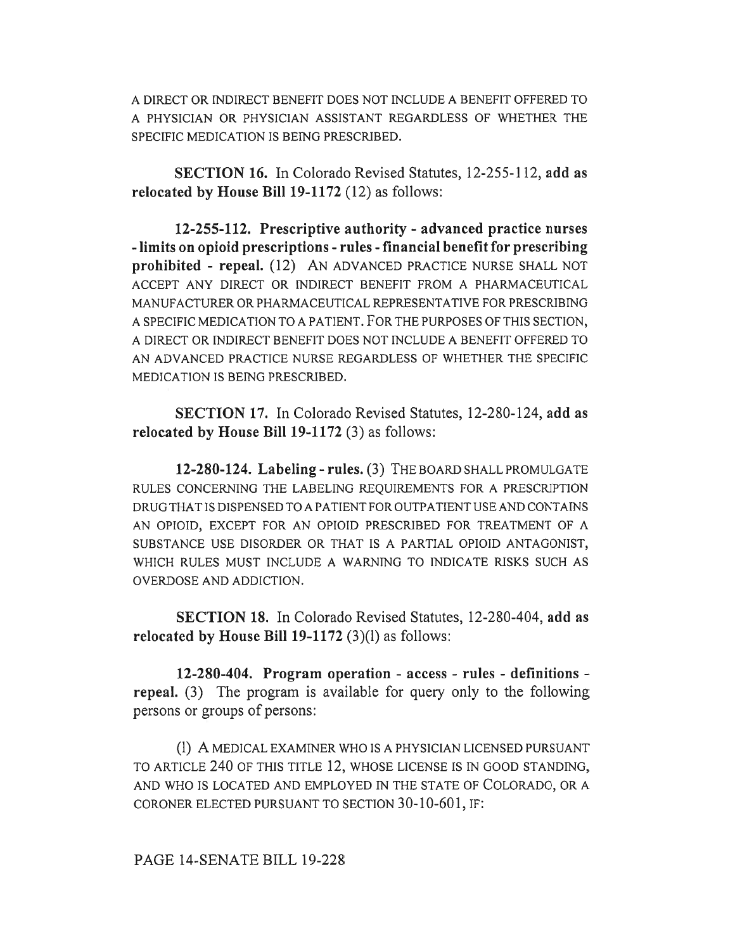A DIRECT OR INDIRECT BENEFIT DOES NOT INCLUDE A BENEFIT OFFERED TO A PHYSICIAN OR PHYSICIAN ASSISTANT REGARDLESS OF WHETHER THE SPECIFIC MEDICATION IS BEING PRESCRIBED.

**SECTION 16.** In Colorado Revised Statutes, 12-255-112, **add as relocated by House Bill 19-1172** (12) as follows:

**12-255-112. Prescriptive authority - advanced practice nurses - limits on opioid prescriptions - rules - financial benefit for prescribing prohibited - repeal.** (12) AN ADVANCED PRACTICE NURSE SHALL NOT ACCEPT ANY DIRECT OR INDIRECT BENEFIT FROM A PHARMACEUTICAL MANUFACTURER OR PHARMACEUTICAL REPRESENTATIVE FOR PRESCRIBING A SPECIFIC MEDICATION TO A PATIENT. FOR THE PURPOSES OF THIS SECTION, A DIRECT OR INDIRECT BENEFIT DOES NOT INCLUDE A BENEFIT OFFERED TO AN ADVANCED PRACTICE NURSE REGARDLESS OF WHETHER THE SPECIFIC MEDICATION IS BEING PRESCRIBED.

**SECTION 17.** In Colorado Revised Statutes, 12-280-124, **add as relocated by House Bill 19-1172** (3) as follows:

**12-280-124. Labeling - rules.** (3) THE BOARD SHALL PROMULGATE RULES CONCERNING THE LABELING REQUIREMENTS FOR A PRESCRIPTION DRUG THAT IS DISPENSED TO A PATIENT FOR OUTPATIENT USE AND CONTAINS AN OPIOID, EXCEPT FOR AN OPIOID PRESCRIBED FOR TREATMENT OF A SUBSTANCE USE DISORDER OR THAT IS A PARTIAL OPIOID ANTAGONIST, WHICH RULES MUST INCLUDE A WARNING TO INDICATE RISKS SUCH AS OVERDOSE AND ADDICTION.

**SECTION 18.** In Colorado Revised Statutes, 12-280-404, **add as relocated by House Bill 19-1172** (3)(1) as follows:

**12-280-404. Program operation - access - rules - definitions repeal.** (3) The program is available for query only to the following persons or groups of persons:

(1) A MEDICAL EXAMINER WHO IS A PHYSICIAN LICENSED PURSUANT TO ARTICLE 240 OF THIS TITLE 12, WHOSE LICENSE IS IN GOOD STANDING, AND WHO IS LOCATED AND EMPLOYED IN THE STATE OF COLORADO, OR A CORONER ELECTED PURSUANT TO SECTION 30-10-601, IF: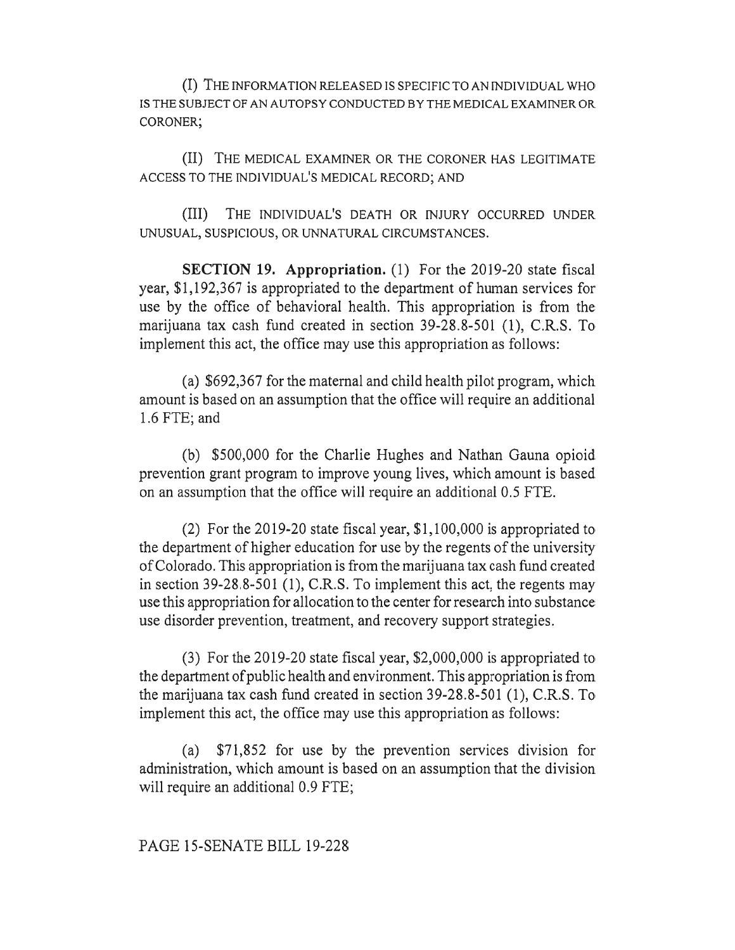(I) THE INFORMATION RELEASED IS SPECIFIC TO AN INDIVIDUAL WHO IS THE SUBJECT OF AN AUTOPSY CONDUCTED BY THE MEDICAL EXAMINER OR CORONER;

(II) THE MEDICAL EXAMINER OR THE CORONER HAS LEGITIMATE ACCESS TO THE INDIVIDUAL'S MEDICAL RECORD; AND

(III) THE INDIVIDUAL'S DEATH OR INJURY OCCURRED UNDER UNUSUAL, SUSPICIOUS, OR UNNATURAL CIRCUMSTANCES.

**SECTION 19. Appropriation.** (1) For the 2019-20 state fiscal year, \$1,192,367 is appropriated to the department of human services for use by the office of behavioral health. This appropriation is from the marijuana tax cash fund created in section 39-28.8-501 (1), C.R.S. To implement this act, the office may use this appropriation as follows:

(a) \$692,367 for the maternal and child health pilot program, which amount is based on an assumption that the office will require an additional 1.6 FTE; and

(b) \$500,000 for the Charlie Hughes and Nathan Gauna opioid prevention grant program to improve young lives, which amount is based on an assumption that the office will require an additional 0.5 FTE.

(2) For the 2019-20 state fiscal year, \$1,100,000 is appropriated to the department of higher education for use by the regents of the university of Colorado. This appropriation is from the marijuana tax cash fund created in section 39-28.8-501 (1), C.R.S. To implement this act, the regents may use this appropriation for allocation to the center for research into substance use disorder prevention, treatment, and recovery support strategies.

(3) For the 2019-20 state fiscal year, \$2,000,000 is appropriated to the department of public health and environment. This appropriation is from the marijuana tax cash fund created in section 39-28.8-501 (1), C.R.S. To implement this act, the office may use this appropriation as follows:

(a) \$71,852 for use by the prevention services division for administration, which amount is based on an assumption that the division will require an additional 0.9 FTE;

PAGE 15-SENATE BILL 19-228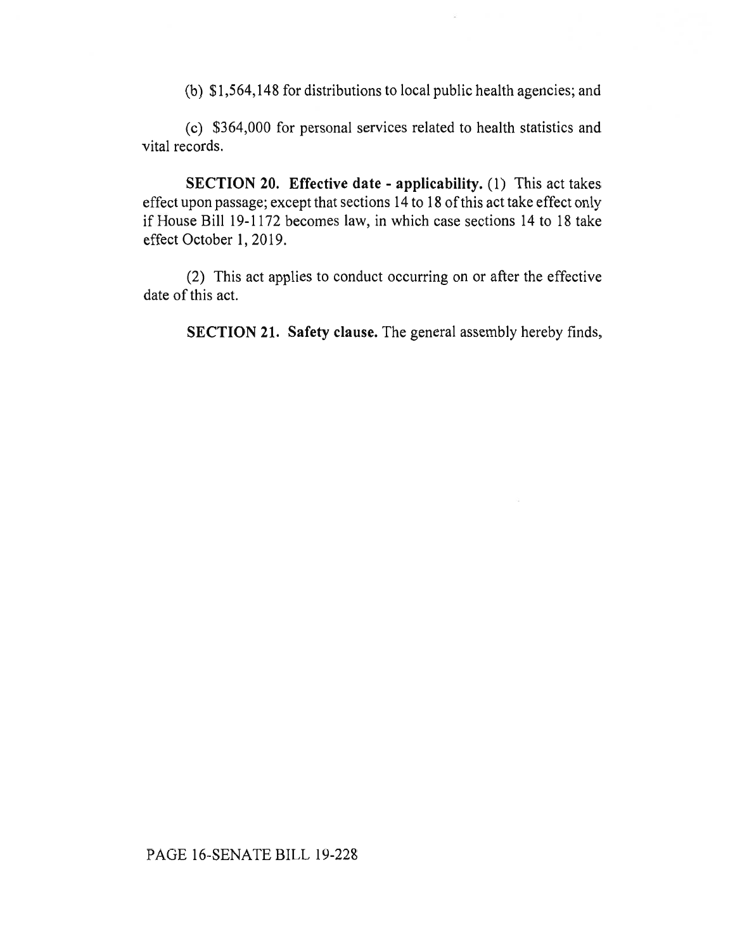(b) \$1,564,148 for distributions to local public health agencies; and

(c) \$364,000 for personal services related to health statistics and vital records.

**SECTION 20. Effective date - applicability.** (1) This act takes effect upon passage; except that sections 14 to 18 of this act take effect only if House Bill 19-1172 becomes law, in which case sections 14 to 18 take effect October 1, 2019.

(2) This act applies to conduct occurring on or after the effective date of this act.

**SECTION 21. Safety clause.** The general assembly hereby finds,